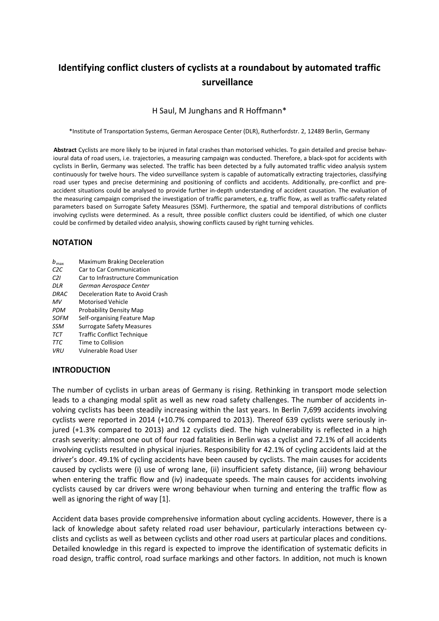# **Identifying conflict clusters of cyclists at a roundabout by automated traffic surveillance**

#### H Saul, M Junghans and R Hoffmann\*

\*Institute of Transportation Systems, German Aerospace Center (DLR), Rutherfordstr. 2, 12489 Berlin, Germany

**Abstract** Cyclists are more likely to be injured in fatal crashes than motorised vehicles. To gain detailed and precise behavioural data of road users, i.e. trajectories, a measuring campaign was conducted. Therefore, a black-spot for accidents with cyclists in Berlin, Germany was selected. The traffic has been detected by a fully automated traffic video analysis system continuously for twelve hours. The video surveillance system is capable of automatically extracting trajectories, classifying road user types and precise determining and positioning of conflicts and accidents. Additionally, pre-conflict and preaccident situations could be analysed to provide further in-depth understanding of accident causation. The evaluation of the measuring campaign comprised the investigation of traffic parameters, e.g. traffic flow, as well as traffic-safety related parameters based on Surrogate Safety Measures (SSM). Furthermore, the spatial and temporal distributions of conflicts involving cyclists were determined. As a result, three possible conflict clusters could be identified, of which one cluster could be confirmed by detailed video analysis, showing conflicts caused by right turning vehicles.

#### **NOTATION**

- *b*maxMaximum Braking Deceleration
- *C2C* Car to Car Communication
- *C2I* Car to Infrastructure Communication
- *DLR German Aerospace Center*
- *DRAC* Deceleration Rate to Avoid Crash
- *MV* Motorised Vehicle
- **PDM** Probability Density Map
- *SOFM* Self-organising Feature Map
- *SSM* Surrogate Safety Measures
- *TCT* Traffic Conflict Technique
- *TTC* Time to Collision
- *VRU* Vulnerable Road User

#### **INTRODUCTION**

The number of cyclists in urban areas of Germany is rising. Rethinking in transport mode selection leads to a changing modal split as well as new road safety challenges. The number of accidents involving cyclists has been steadily increasing within the last years. In Berlin 7,699 accidents involving cyclists were reported in 2014 (+10.7% compared to 2013). Thereof 639 cyclists were seriously injured (+1.3% compared to 2013) and 12 cyclists died. The high vulnerability is reflected in a high crash severity: almost one out of four road fatalities in Berlin was a cyclist and 72.1% of all accidents involving cyclists resulted in physical injuries. Responsibility for 42.1% of cycling accidents laid at the driver's door. 49.1% of cycling accidents have been caused by cyclists. The main causes for accidents caused by cyclists were (i) use of wrong lane, (ii) insufficient safety distance, (iii) wrong behaviour when entering the traffic flow and (iv) inadequate speeds. The main causes for accidents involving cyclists caused by car drivers were wrong behaviour when turning and entering the traffic flow as well as ignoring the right of way [1].

Accident data bases provide comprehensive information about cycling accidents. However, there is a lack of knowledge about safety related road user behaviour, particularly interactions between cyclists and cyclists as well as between cyclists and other road users at particular places and conditions. Detailed knowledge in this regard is expected to improve the identification of systematic deficits in road design, traffic control, road surface markings and other factors. In addition, not much is known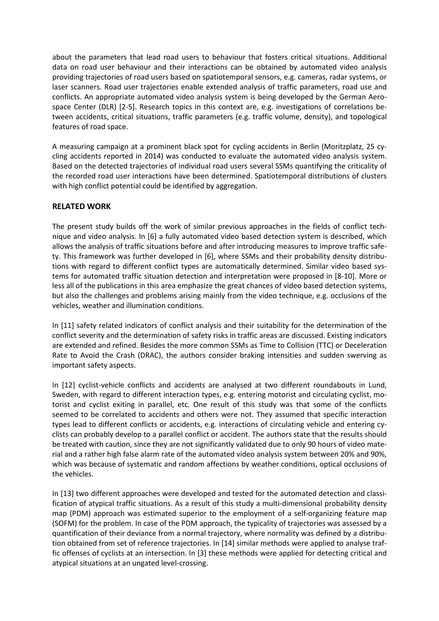about the parameters that lead road users to behaviour that fosters critical situations. Additional data on road user behaviour and their interactions can be obtained by automated video analysis providing trajectories of road users based on spatiotemporal sensors, e.g. cameras, radar systems, or laser scanners. Road user trajectories enable extended analysis of traffic parameters, road use and conflicts. An appropriate automated video analysis system is being developed by the German Aerospace Center (DLR) [2-5]. Research topics in this context are, e.g. investigations of correlations between accidents, critical situations, traffic parameters (e.g. traffic volume, density), and topological features of road space.

A measuring campaign at a prominent black spot for cycling accidents in Berlin (Moritzplatz, 25 cycling accidents reported in 2014) was conducted to evaluate the automated video analysis system. Based on the detected trajectories of individual road users several SSMs quantifying the criticality of the recorded road user interactions have been determined. Spatiotemporal distributions of clusters with high conflict potential could be identified by aggregation.

# **RELATED WORK**

The present study builds off the work of similar previous approaches in the fields of conflict technique and video analysis. In [6] a fully automated video based detection system is described, which allows the analysis of traffic situations before and after introducing measures to improve traffic safety. This framework was further developed in [6], where SSMs and their probability density distributions with regard to different conflict types are automatically determined. Similar video based systems for automated traffic situation detection and interpretation were proposed in [8-10]. More or less all of the publications in this area emphasize the great chances of video based detection systems, but also the challenges and problems arising mainly from the video technique, e.g. occlusions of the vehicles, weather and illumination conditions.

In [11] safety related indicators of conflict analysis and their suitability for the determination of the conflict severity and the determination of safety risks in traffic areas are discussed. Existing indicators are extended and refined. Besides the more common SSMs as Time to Collision (TTC) or Deceleration Rate to Avoid the Crash (DRAC), the authors consider braking intensities and sudden swerving as important safety aspects.

In [12] cyclist-vehicle conflicts and accidents are analysed at two different roundabouts in Lund, Sweden, with regard to different interaction types, e.g. entering motorist and circulating cyclist, motorist and cyclist exiting in parallel, etc. One result of this study was that some of the conflicts seemed to be correlated to accidents and others were not. They assumed that specific interaction types lead to different conflicts or accidents, e.g. interactions of circulating vehicle and entering cyclists can probably develop to a parallel conflict or accident. The authors state that the results should be treated with caution, since they are not significantly validated due to only 90 hours of video material and a rather high false alarm rate of the automated video analysis system between 20% and 90%, which was because of systematic and random affections by weather conditions, optical occlusions of the vehicles.

In [13] two different approaches were developed and tested for the automated detection and classification of atypical traffic situations. As a result of this study a multi-dimensional probability density map (PDM) approach was estimated superior to the employment of a self-organizing feature map (SOFM) for the problem. In case of the PDM approach, the typicality of trajectories was assessed by a quantification of their deviance from a normal trajectory, where normality was defined by a distribution obtained from set of reference trajectories. In [14] similar methods were applied to analyse traffic offenses of cyclists at an intersection. In [3] these methods were applied for detecting critical and atypical situations at an ungated level-crossing.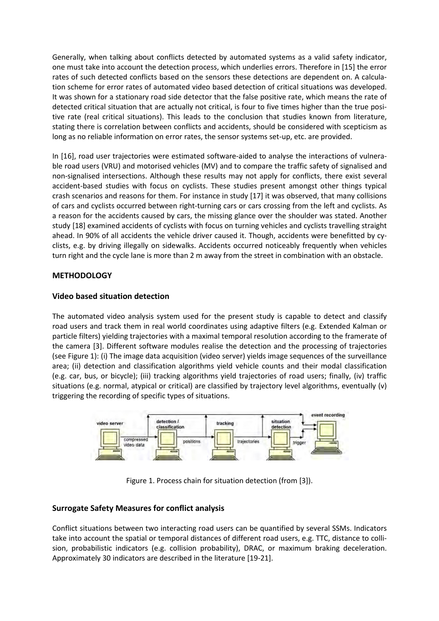Generally, when talking about conflicts detected by automated systems as a valid safety indicator, one must take into account the detection process, which underlies errors. Therefore in [15] the error rates of such detected conflicts based on the sensors these detections are dependent on. A calculation scheme for error rates of automated video based detection of critical situations was developed. It was shown for a stationary road side detector that the false positive rate, which means the rate of detected critical situation that are actually not critical, is four to five times higher than the true positive rate (real critical situations). This leads to the conclusion that studies known from literature, stating there is correlation between conflicts and accidents, should be considered with scepticism as long as no reliable information on error rates, the sensor systems set-up, etc. are provided.

In [16], road user trajectories were estimated software-aided to analyse the interactions of vulnerable road users (VRU) and motorised vehicles (MV) and to compare the traffic safety of signalised and non-signalised intersections. Although these results may not apply for conflicts, there exist several accident-based studies with focus on cyclists. These studies present amongst other things typical crash scenarios and reasons for them. For instance in study [17] it was observed, that many collisions of cars and cyclists occurred between right-turning cars or cars crossing from the left and cyclists. As a reason for the accidents caused by cars, the missing glance over the shoulder was stated. Another study [18] examined accidents of cyclists with focus on turning vehicles and cyclists travelling straight ahead. In 90% of all accidents the vehicle driver caused it. Though, accidents were benefitted by cyclists, e.g. by driving illegally on sidewalks. Accidents occurred noticeably frequently when vehicles turn right and the cycle lane is more than 2 m away from the street in combination with an obstacle.

# **METHODOLOGY**

# **Video based situation detection**

The automated video analysis system used for the present study is capable to detect and classify road users and track them in real world coordinates using adaptive filters (e.g. Extended Kalman or particle filters) yielding trajectories with a maximal temporal resolution according to the framerate of the camera [3]. Different software modules realise the detection and the processing of trajectories (see Figure 1): (i) The image data acquisition (video server) yields image sequences of the surveillance area; (ii) detection and classification algorithms yield vehicle counts and their modal classification (e.g. car, bus, or bicycle); (iii) tracking algorithms yield trajectories of road users; finally, (iv) traffic situations (e.g. normal, atypical or critical) are classified by trajectory level algorithms, eventually (v) triggering the recording of specific types of situations.



Figure 1. Process chain for situation detection (from [3]).

# **Surrogate Safety Measures for conflict analysis**

Conflict situations between two interacting road users can be quantified by several SSMs. Indicators take into account the spatial or temporal distances of different road users, e.g. TTC, distance to collision, probabilistic indicators (e.g. collision probability), DRAC, or maximum braking deceleration. Approximately 30 indicators are described in the literature [19-21].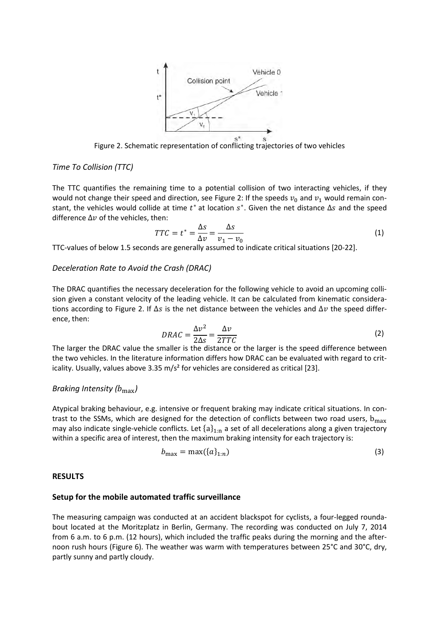

Figure 2. Schematic representation of conflicting trajectories of two vehicles

#### *Time To Collision (TTC)*

The TTC quantifies the remaining time to a potential collision of two interacting vehicles, if they would not change their speed and direction, see Figure 2: If the speeds  $v_0$  and  $v_1$  would remain constant, the vehicles would collide at time  $t^*$  at location  $s^*$ . Given the net distance  $\Delta s$  and the speed difference  $\Delta v$  of the vehicles, then:

$$
TTC = t^* = \frac{\Delta s}{\Delta v} = \frac{\Delta s}{v_1 - v_0}
$$
\n(1)

TTC-values of below 1.5 seconds are generally assumed to indicate critical situations [20-22].

#### *Deceleration Rate to Avoid the Crash (DRAC)*

The DRAC quantifies the necessary deceleration for the following vehicle to avoid an upcoming collision given a constant velocity of the leading vehicle. It can be calculated from kinematic considerations according to Figure 2. If  $\Delta s$  is the net distance between the vehicles and  $\Delta v$  the speed difference, then:

$$
DRAC = \frac{\Delta v^2}{2\Delta s} = \frac{\Delta v}{2TTC}
$$
 (2)

 $\frac{2\pi}{2}$ <br>The larger the DRAC value the smaller is the distance or the larger is the speed difference between the two vehicles. In the literature information differs how DRAC can be evaluated with regard to criticality. Usually, values above 3.35 m/s² for vehicles are considered as critical [23].

#### *Braking Intensity (b*<sub>max</sub>)

Atypical braking behaviour, e.g. intensive or frequent braking may indicate critical situations. In contrast to the SSMs, which are designed for the detection of conflicts between two road users,  $b_{max}$ may also indicate single-vehicle conflicts. Let  ${a}_{1:n}$  a set of all decelerations along a given trajectory within a specific area of interest, then the maximum braking intensity for each trajectory is:

$$
b_{\max} = \max(\{a\}_{1:n})\tag{3}
$$

#### **RESULTS**

#### **Setup for the mobile automated traffic surveillance**

The measuring campaign was conducted at an accident blackspot for cyclists, a four-legged roundabout located at the Moritzplatz in Berlin, Germany. The recording was conducted on July 7, 2014 from 6 a.m. to 6 p.m. (12 hours), which included the traffic peaks during the morning and the afternoon rush hours (Figure 6). The weather was warm with temperatures between 25°C and 30°C, dry, partly sunny and partly cloudy.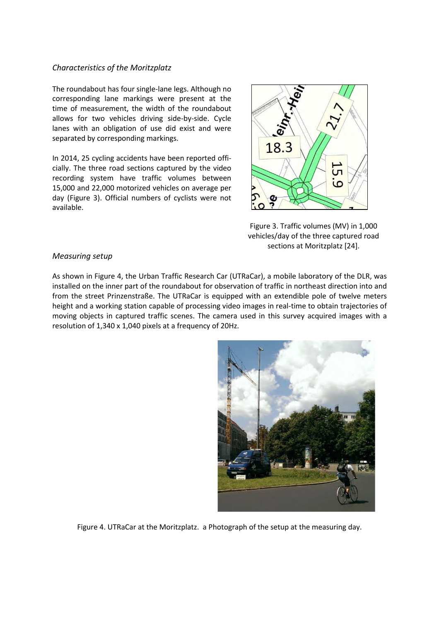#### *Characteristics of the Moritzplatz*

The roundabout has four single-lane legs. Although no corresponding lane markings were present at the time of measurement, the width of the roundabout allows for two vehicles driving side-by-side. Cycle lanes with an obligation of use did exist and were separated by corresponding markings.

In 2014, 25 cycling accidents have been reported officially. The three road sections captured by the video recording system have traffic volumes between 15,000 and 22,000 motorized vehicles on average per day (Figure 3). Official numbers of cyclists were not available.



Figure 3. Traffic volumes (MV) in 1,000 vehicles/day of the three captured road sections at Moritzplatz [24].

#### *Measuring setup*

As shown in Figure 4, the Urban Traffic Research Car (UTRaCar), a mobile laboratory of the DLR, was installed on the inner part of the roundabout for observation of traffic in northeast direction into and from the street Prinzenstraße. The UTRaCar is equipped with an extendible pole of twelve meters height and a working station capable of processing video images in real-time to obtain trajectories of moving objects in captured traffic scenes. The camera used in this survey acquired images with a resolution of 1,340 x 1,040 pixels at a frequency of 20Hz.



Figure 4. UTRaCar at the Moritzplatz. a Photograph of the setup at the measuring day.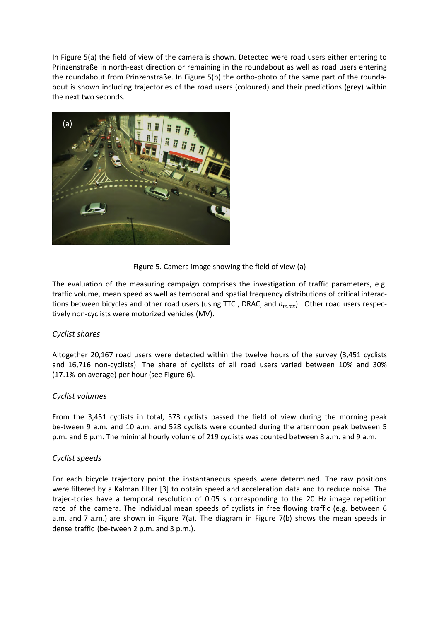In Figure 5(a) the field of view of the camera is shown. Detected were road users either entering to Prinzenstraße in north-east direction or remaining in the roundabout as well as road users entering the roundabout from Prinzenstraße. In Figure 5(b) the ortho-photo of the same part of the roundabout is shown including trajectories of the road users (coloured) and their predictions (grey) within the next two seconds.



Figure 5. Camera image showing the field of view (a)

The evaluation of the measuring campaign comprises the investigation of traffic parameters, e.g. traffic volume, mean speed as well as temporal and spatial frequency distributions of critical interactions between bicycles and other road users (using TTC, DRAC, and  $b_{max}$ ). Other road users respectively non-cyclists were motorized vehicles (MV).

# *Cyclist shares*

Altogether 20,167 road users were detected within the twelve hours of the survey (3,451 cyclists and 16,716 non-cyclists). The share of cyclists of all road users varied between 10% and 30% (17.1% on average) per hour (see Figure 6).

#### *Cyclist volumes*

From the 3,451 cyclists in total, 573 cyclists passed the field of view during the morning peak be-tween 9 a.m. and 10 a.m. and 528 cyclists were counted during the afternoon peak between 5 p.m. and 6 p.m. The minimal hourly volume of 219 cyclists was counted between 8 a.m. and 9 a.m.

# *Cyclist speeds*

For each bicycle trajectory point the instantaneous speeds were determined. The raw positions were filtered by a Kalman filter [3] to obtain speed and acceleration data and to reduce noise. The trajec-tories have a temporal resolution of 0.05 s corresponding to the 20 Hz image repetition rate of the camera. The individual mean speeds of cyclists in free flowing traffic (e.g. between 6 a.m. and 7 a.m.) are shown in Figure 7(a). The diagram in Figure 7(b) shows the mean speeds in dense traffic (be-tween 2 p.m. and 3 p.m.).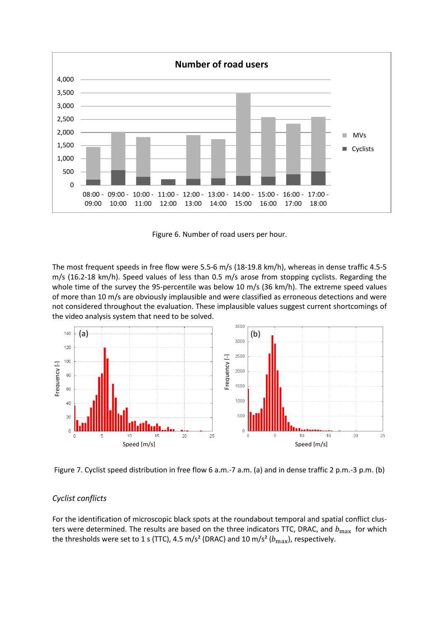

Figure 6. Number of road users per hour.

The most frequent speeds in free flow were 5.5-6 m/s (18-19.8 km/h), whereas in dense traffic 4.5-5 m/s (16.2-18 km/h). Speed values of less than 0.5 m/s arose from stopping cyclists. Regarding the whole time of the survey the 95-percentile was below 10 m/s (36 km/h). The extreme speed values of more than 10 m/s are obviously implausible and were classified as erroneous detections and were not considered throughout the evaluation. These implausible values suggest current shortcomings of the video analysis system that need to be solved.



Figure 7. Cyclist speed distribution in free flow 6 a.m.-7 a.m. (a) and in dense traffic 2 p.m.-3 p.m. (b)

# *Cyclist conflicts*

For the identification of microscopic black spots at the roundabout temporal and spatial conflict clusters were determined. The results are based on the three indicators TTC, DRAC, and  $b_{\text{max}}$  for which the thresholds were set to 1 s (TTC), 4.5 m/s<sup>2</sup> (DRAC) and 10 m/s<sup>2</sup> ( $b_{\text{max}}$ ), respectively.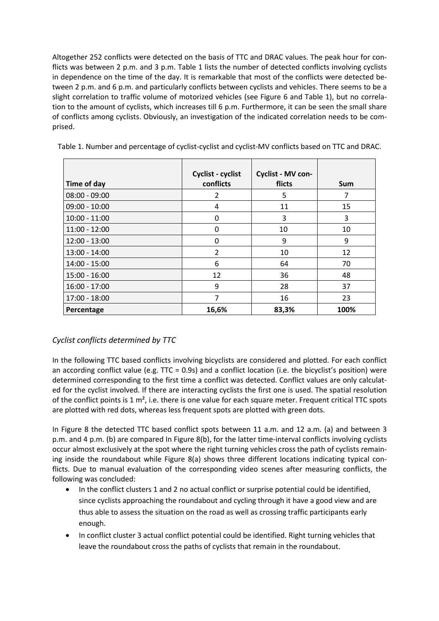Altogether 252 conflicts were detected on the basis of TTC and DRAC values. The peak hour for conflicts was between 2 p.m. and 3 p.m. Table 1 lists the number of detected conflicts involving cyclists in dependence on the time of the day. It is remarkable that most of the conflicts were detected between 2 p.m. and 6 p.m. and particularly conflicts between cyclists and vehicles. There seems to be a slight correlation to traffic volume of motorized vehicles (see Figure 6 and Table 1), but no correlation to the amount of cyclists, which increases till 6 p.m. Furthermore, it can be seen the small share of conflicts among cyclists. Obviously, an investigation of the indicated correlation needs to be comprised.

| Time of day     | Cyclist - cyclist<br>conflicts | Cyclist - MV con-<br>flicts | Sum  |
|-----------------|--------------------------------|-----------------------------|------|
| $08:00 - 09:00$ | 2                              | 5                           | 7    |
| $09:00 - 10:00$ | 4                              | 11                          | 15   |
| $10:00 - 11:00$ | 0                              | 3                           | 3    |
| $11:00 - 12:00$ | 0                              | 10                          | 10   |
| $12:00 - 13:00$ | 0                              | 9                           | 9    |
| $13:00 - 14:00$ | $\overline{2}$                 | 10                          | 12   |
| 14:00 - 15:00   | 6                              | 64                          | 70   |
| $15:00 - 16:00$ | 12                             | 36                          | 48   |
| $16:00 - 17:00$ | 9                              | 28                          | 37   |
| 17:00 - 18:00   | 7                              | 16                          | 23   |
| Percentage      | 16,6%                          | 83,3%                       | 100% |

Table 1. Number and percentage of cyclist-cyclist and cyclist-MV conflicts based on TTC and DRAC.

# *Cyclist conflicts determined by TTC*

In the following TTC based conflicts involving bicyclists are considered and plotted. For each conflict an according conflict value (e.g. TTC = 0.9s) and a conflict location (i.e. the bicyclist's position) were determined corresponding to the first time a conflict was detected. Conflict values are only calculated for the cyclist involved. If there are interacting cyclists the first one is used. The spatial resolution of the conflict points is 1 m<sup>2</sup>, i.e. there is one value for each square meter. Frequent critical TTC spots are plotted with red dots, whereas less frequent spots are plotted with green dots.

In Figure 8 the detected TTC based conflict spots between 11 a.m. and 12 a.m. (a) and between 3 p.m. and 4 p.m. (b) are compared In Figure 8(b), for the latter time-interval conflicts involving cyclists occur almost exclusively at the spot where the right turning vehicles cross the path of cyclists remaining inside the roundabout while Figure 8(a) shows three different locations indicating typical conflicts. Due to manual evaluation of the corresponding video scenes after measuring conflicts, the following was concluded:

- In the conflict clusters 1 and 2 no actual conflict or surprise potential could be identified, since cyclists approaching the roundabout and cycling through it have a good view and are thus able to assess the situation on the road as well as crossing traffic participants early enough.
- In conflict cluster 3 actual conflict potential could be identified. Right turning vehicles that leave the roundabout cross the paths of cyclists that remain in the roundabout.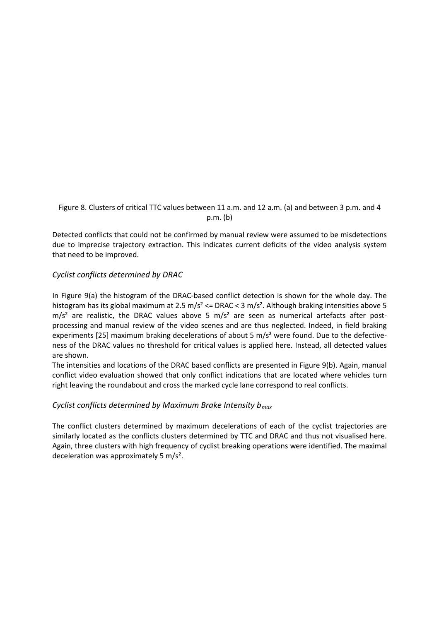Figure 8. Clusters of critical TTC values between 11 a.m. and 12 a.m. (a) and between 3 p.m. and 4 p.m. (b)

Detected conflicts that could not be confirmed by manual review were assumed to be misdetections due to imprecise trajectory extraction. This indicates current deficits of the video analysis system that need to be improved.

#### *Cyclist conflicts determined by DRAC*

In Figure 9(a) the histogram of the DRAC-based conflict detection is shown for the whole day. The histogram has its global maximum at 2.5 m/s<sup>2</sup>  $\lt$  DRAC  $\lt$  3 m/s<sup>2</sup>. Although braking intensities above 5  $m/s<sup>2</sup>$  are realistic, the DRAC values above 5 m/s<sup>2</sup> are seen as numerical artefacts after postprocessing and manual review of the video scenes and are thus neglected. Indeed, in field braking experiments [25] maximum braking decelerations of about 5  $m/s<sup>2</sup>$  were found. Due to the defectiveness of the DRAC values no threshold for critical values is applied here. Instead, all detected values are shown.

The intensities and locations of the DRAC based conflicts are presented in Figure 9(b). Again, manual conflict video evaluation showed that only conflict indications that are located where vehicles turn right leaving the roundabout and cross the marked cycle lane correspond to real conflicts.

# *Cyclist conflicts determined by Maximum Brake Intensity bmax*

The conflict clusters determined by maximum decelerations of each of the cyclist trajectories are similarly located as the conflicts clusters determined by TTC and DRAC and thus not visualised here. Again, three clusters with high frequency of cyclist breaking operations were identified. The maximal deceleration was approximately 5 m/s².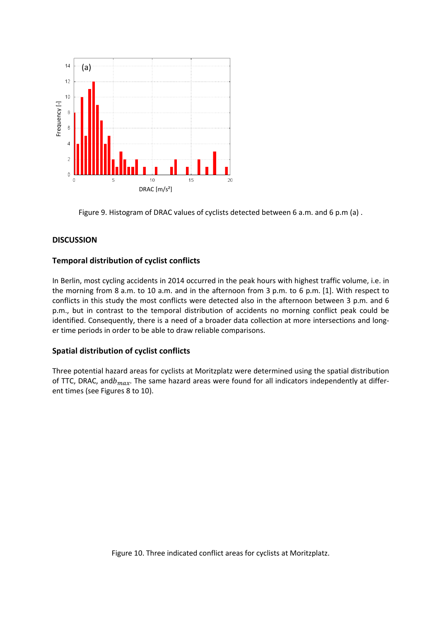

Figure 9. Histogram of DRAC values of cyclists detected between 6 a.m. and 6 p.m (a) .

# **DISCUSSION**

#### **Temporal distribution of cyclist conflicts**

In Berlin, most cycling accidents in 2014 occurred in the peak hours with highest traffic volume, i.e. in the morning from 8 a.m. to 10 a.m. and in the afternoon from 3 p.m. to 6 p.m. [1]. With respect to conflicts in this study the most conflicts were detected also in the afternoon between 3 p.m. and 6 p.m., but in contrast to the temporal distribution of accidents no morning conflict peak could be identified. Consequently, there is a need of a broader data collection at more intersections and longer time periods in order to be able to draw reliable comparisons.

# **Spatial distribution of cyclist conflicts**

Three potential hazard areas for cyclists at Moritzplatz were determined using the spatial distribution of TTC, DRAC, and  $b_{max}$ . The same hazard areas were found for all indicators independently at different times (see Figures 8 to 10).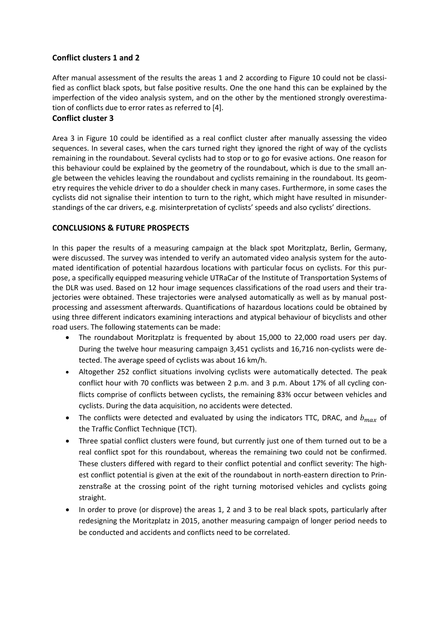# **Conflict clusters 1 and 2**

After manual assessment of the results the areas 1 and 2 according to Figure 10 could not be classified as conflict black spots, but false positive results. One the one hand this can be explained by the imperfection of the video analysis system, and on the other by the mentioned strongly overestimation of conflicts due to error rates as referred to [4].

# **Conflict cluster 3**

Area 3 in Figure 10 could be identified as a real conflict cluster after manually assessing the video sequences. In several cases, when the cars turned right they ignored the right of way of the cyclists remaining in the roundabout. Several cyclists had to stop or to go for evasive actions. One reason for this behaviour could be explained by the geometry of the roundabout, which is due to the small angle between the vehicles leaving the roundabout and cyclists remaining in the roundabout. Its geometry requires the vehicle driver to do a shoulder check in many cases. Furthermore, in some cases the cyclists did not signalise their intention to turn to the right, which might have resulted in misunderstandings of the car drivers, e.g. misinterpretation of cyclists' speeds and also cyclists' directions.

# **CONCLUSIONS & FUTURE PROSPECTS**

In this paper the results of a measuring campaign at the black spot Moritzplatz, Berlin, Germany, were discussed. The survey was intended to verify an automated video analysis system for the automated identification of potential hazardous locations with particular focus on cyclists. For this purpose, a specifically equipped measuring vehicle UTRaCar of the Institute of Transportation Systems of the DLR was used. Based on 12 hour image sequences classifications of the road users and their trajectories were obtained. These trajectories were analysed automatically as well as by manual postprocessing and assessment afterwards. Quantifications of hazardous locations could be obtained by using three different indicators examining interactions and atypical behaviour of bicyclists and other road users. The following statements can be made:

- The roundabout Moritzplatz is frequented by about 15,000 to 22,000 road users per day. During the twelve hour measuring campaign 3,451 cyclists and 16,716 non-cyclists were detected. The average speed of cyclists was about 16 km/h.
- Altogether 252 conflict situations involving cyclists were automatically detected. The peak conflict hour with 70 conflicts was between 2 p.m. and 3 p.m. About 17% of all cycling conflicts comprise of conflicts between cyclists, the remaining 83% occur between vehicles and cyclists. During the data acquisition, no accidents were detected.
- The conflicts were detected and evaluated by using the indicators TTC, DRAC, and  $b_{max}$  of the Traffic Conflict Technique (TCT).
- Three spatial conflict clusters were found, but currently just one of them turned out to be a real conflict spot for this roundabout, whereas the remaining two could not be confirmed. These clusters differed with regard to their conflict potential and conflict severity: The highest conflict potential is given at the exit of the roundabout in north-eastern direction to Prinzenstraße at the crossing point of the right turning motorised vehicles and cyclists going straight.
- In order to prove (or disprove) the areas 1, 2 and 3 to be real black spots, particularly after redesigning the Moritzplatz in 2015, another measuring campaign of longer period needs to be conducted and accidents and conflicts need to be correlated.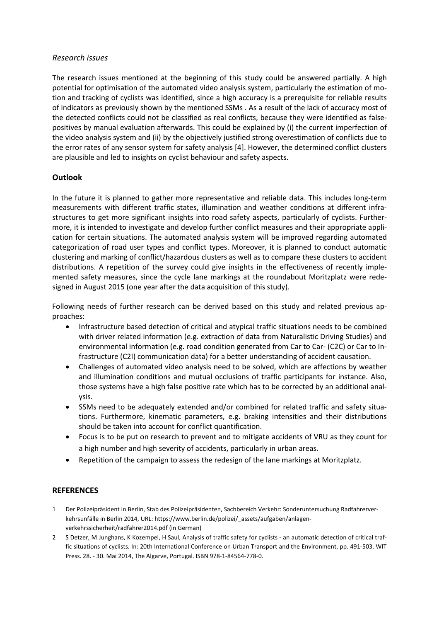#### *Research issues*

The research issues mentioned at the beginning of this study could be answered partially. A high potential for optimisation of the automated video analysis system, particularly the estimation of motion and tracking of cyclists was identified, since a high accuracy is a prerequisite for reliable results of indicators as previously shown by the mentioned SSMs . As a result of the lack of accuracy most of the detected conflicts could not be classified as real conflicts, because they were identified as falsepositives by manual evaluation afterwards. This could be explained by (i) the current imperfection of the video analysis system and (ii) by the objectively justified strong overestimation of conflicts due to the error rates of any sensor system for safety analysis [4]. However, the determined conflict clusters are plausible and led to insights on cyclist behaviour and safety aspects.

# **Outlook**

In the future it is planned to gather more representative and reliable data. This includes long-term measurements with different traffic states, illumination and weather conditions at different infrastructures to get more significant insights into road safety aspects, particularly of cyclists. Furthermore, it is intended to investigate and develop further conflict measures and their appropriate application for certain situations. The automated analysis system will be improved regarding automated categorization of road user types and conflict types. Moreover, it is planned to conduct automatic clustering and marking of conflict/hazardous clusters as well as to compare these clusters to accident distributions. A repetition of the survey could give insights in the effectiveness of recently implemented safety measures, since the cycle lane markings at the roundabout Moritzplatz were redesigned in August 2015 (one year after the data acquisition of this study).

Following needs of further research can be derived based on this study and related previous approaches:

- Infrastructure based detection of critical and atypical traffic situations needs to be combined with driver related information (e.g. extraction of data from Naturalistic Driving Studies) and environmental information (e.g. road condition generated from Car to Car- (C2C) or Car to Infrastructure (C2I) communication data) for a better understanding of accident causation.
- Challenges of automated video analysis need to be solved, which are affections by weather and illumination conditions and mutual occlusions of traffic participants for instance. Also, those systems have a high false positive rate which has to be corrected by an additional analysis.
- SSMs need to be adequately extended and/or combined for related traffic and safety situations. Furthermore, kinematic parameters, e.g. braking intensities and their distributions should be taken into account for conflict quantification.
- Focus is to be put on research to prevent and to mitigate accidents of VRU as they count for a high number and high severity of accidents, particularly in urban areas.
- x Repetition of the campaign to assess the redesign of the lane markings at Moritzplatz.

# **REFERENCES**

- 1 Der Polizeipräsident in Berlin, Stab des Polizeipräsidenten, Sachbereich Verkehr: Sonderuntersuchung Radfahrerverkehrsunfälle in Berlin 2014, URL: https://www.berlin.de/polizei/\_assets/aufgaben/anlagenverkehrssicherheit/radfahrer2014.pdf (in German)
- 2 S Detzer, M Junghans, K Kozempel, H Saul, Analysis of traffic safety for cyclists an automatic detection of critical traffic situations of cyclists. In: 20th International Conference on Urban Transport and the Environment, pp. 491-503. WIT Press. 28. - 30. Mai 2014, The Algarve, Portugal. ISBN 978-1-84564-778-0.